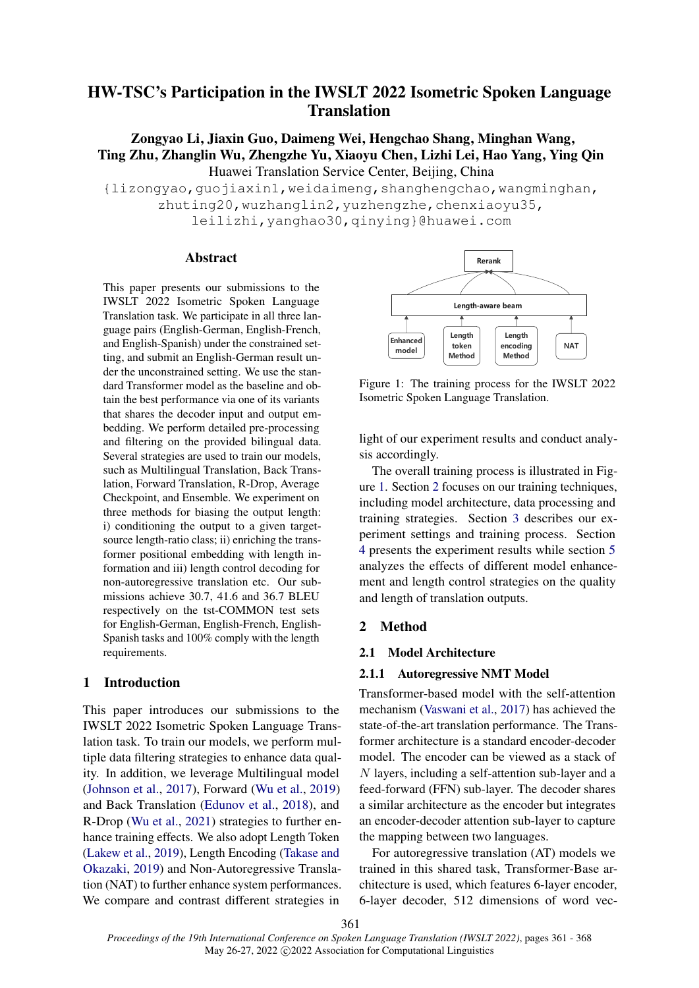# HW-TSC's Participation in the IWSLT 2022 Isometric Spoken Language **Translation**

Zongyao Li, Jiaxin Guo, Daimeng Wei, Hengchao Shang, Minghan Wang, Ting Zhu, Zhanglin Wu, Zhengzhe Yu, Xiaoyu Chen, Lizhi Lei, Hao Yang, Ying Qin Huawei Translation Service Center, Beijing, China

{lizongyao,guojiaxin1,weidaimeng,shanghengchao,wangminghan, zhuting20,wuzhanglin2,yuzhengzhe,chenxiaoyu35, leilizhi,yanghao30,qinying}@huawei.com

#### Abstract

This paper presents our submissions to the IWSLT 2022 Isometric Spoken Language Translation task. We participate in all three language pairs (English-German, English-French, and English-Spanish) under the constrained setting, and submit an English-German result under the unconstrained setting. We use the standard Transformer model as the baseline and obtain the best performance via one of its variants that shares the decoder input and output embedding. We perform detailed pre-processing and filtering on the provided bilingual data. Several strategies are used to train our models, such as Multilingual Translation, Back Translation, Forward Translation, R-Drop, Average Checkpoint, and Ensemble. We experiment on three methods for biasing the output length: i) conditioning the output to a given targetsource length-ratio class; ii) enriching the transformer positional embedding with length information and iii) length control decoding for non-autoregressive translation etc. Our submissions achieve 30.7, 41.6 and 36.7 BLEU respectively on the tst-COMMON test sets for English-German, English-French, English-Spanish tasks and 100% comply with the length requirements.

### 1 Introduction

This paper introduces our submissions to the IWSLT 2022 Isometric Spoken Language Translation task. To train our models, we perform multiple data filtering strategies to enhance data quality. In addition, we leverage Multilingual model [\(Johnson et al.,](#page-6-0) [2017\)](#page-6-0), Forward [\(Wu et al.,](#page-6-1) [2019\)](#page-6-1) and Back Translation [\(Edunov et al.,](#page-5-0) [2018\)](#page-5-0), and R-Drop [\(Wu et al.,](#page-6-2) [2021\)](#page-6-2) strategies to further enhance training effects. We also adopt Length Token [\(Lakew et al.,](#page-6-3) [2019\)](#page-6-3), Length Encoding [\(Takase and](#page-6-4) [Okazaki,](#page-6-4) [2019\)](#page-6-4) and Non-Autoregressive Translation (NAT) to further enhance system performances. We compare and contrast different strategies in

<span id="page-0-0"></span>

Figure 1: The training process for the IWSLT 2022 Isometric Spoken Language Translation.

light of our experiment results and conduct analysis accordingly.

The overall training process is illustrated in Figure [1.](#page-0-0) Section [2](#page-0-1) focuses on our training techniques, including model architecture, data processing and training strategies. Section [3](#page-3-0) describes our experiment settings and training process. Section [4](#page-3-1) presents the experiment results while section [5](#page-4-0) analyzes the effects of different model enhancement and length control strategies on the quality and length of translation outputs.

### <span id="page-0-1"></span>2 Method

### 2.1 Model Architecture

#### 2.1.1 Autoregressive NMT Model

Transformer-based model with the self-attention mechanism [\(Vaswani et al.,](#page-6-5) [2017\)](#page-6-5) has achieved the state-of-the-art translation performance. The Transformer architecture is a standard encoder-decoder model. The encoder can be viewed as a stack of N layers, including a self-attention sub-layer and a feed-forward (FFN) sub-layer. The decoder shares a similar architecture as the encoder but integrates an encoder-decoder attention sub-layer to capture the mapping between two languages.

For autoregressive translation (AT) models we trained in this shared task, Transformer-Base architecture is used, which features 6-layer encoder, 6-layer decoder, 512 dimensions of word vec-

361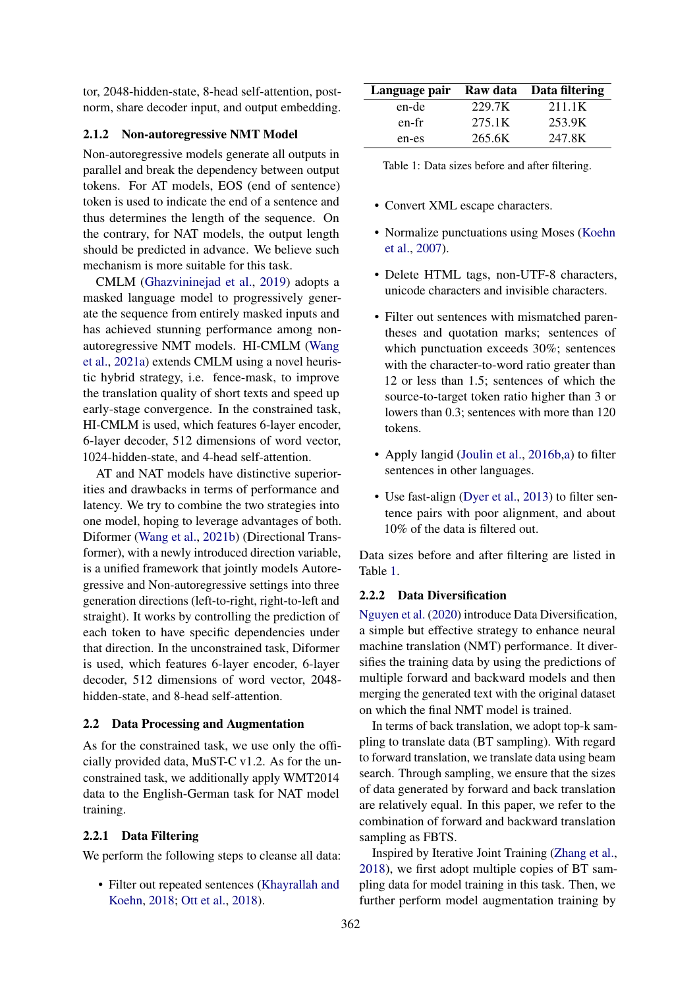tor, 2048-hidden-state, 8-head self-attention, postnorm, share decoder input, and output embedding.

#### 2.1.2 Non-autoregressive NMT Model

Non-autoregressive models generate all outputs in parallel and break the dependency between output tokens. For AT models, EOS (end of sentence) token is used to indicate the end of a sentence and thus determines the length of the sequence. On the contrary, for NAT models, the output length should be predicted in advance. We believe such mechanism is more suitable for this task.

CMLM [\(Ghazvininejad et al.,](#page-5-1) [2019\)](#page-5-1) adopts a masked language model to progressively generate the sequence from entirely masked inputs and has achieved stunning performance among nonautoregressive NMT models. HI-CMLM [\(Wang](#page-6-6) [et al.,](#page-6-6) [2021a\)](#page-6-6) extends CMLM using a novel heuristic hybrid strategy, i.e. fence-mask, to improve the translation quality of short texts and speed up early-stage convergence. In the constrained task, HI-CMLM is used, which features 6-layer encoder, 6-layer decoder, 512 dimensions of word vector, 1024-hidden-state, and 4-head self-attention.

AT and NAT models have distinctive superiorities and drawbacks in terms of performance and latency. We try to combine the two strategies into one model, hoping to leverage advantages of both. Diformer [\(Wang et al.,](#page-6-7) [2021b\)](#page-6-7) (Directional Transformer), with a newly introduced direction variable, is a unified framework that jointly models Autoregressive and Non-autoregressive settings into three generation directions (left-to-right, right-to-left and straight). It works by controlling the prediction of each token to have specific dependencies under that direction. In the unconstrained task, Diformer is used, which features 6-layer encoder, 6-layer decoder, 512 dimensions of word vector, 2048 hidden-state, and 8-head self-attention.

### 2.2 Data Processing and Augmentation

As for the constrained task, we use only the officially provided data, MuST-C v1.2. As for the unconstrained task, we additionally apply WMT2014 data to the English-German task for NAT model training.

#### <span id="page-1-1"></span>2.2.1 Data Filtering

We perform the following steps to cleanse all data:

• Filter out repeated sentences [\(Khayrallah and](#page-6-8) [Koehn,](#page-6-8) [2018;](#page-6-8) [Ott et al.,](#page-6-9) [2018\)](#page-6-9).

<span id="page-1-0"></span>

| Language pair Raw data Data filtering |        |        |
|---------------------------------------|--------|--------|
| en-de                                 | 229.7K | 211.1K |
| en-fr                                 | 275.1K | 253.9K |
| en-es                                 | 265.6K | 247.8K |

Table 1: Data sizes before and after filtering.

- Convert XML escape characters.
- Normalize punctuations using Moses [\(Koehn](#page-6-10) [et al.,](#page-6-10) [2007\)](#page-6-10).
- Delete HTML tags, non-UTF-8 characters, unicode characters and invisible characters.
- Filter out sentences with mismatched parentheses and quotation marks; sentences of which punctuation exceeds 30%; sentences with the character-to-word ratio greater than 12 or less than 1.5; sentences of which the source-to-target token ratio higher than 3 or lowers than 0.3; sentences with more than 120 tokens.
- Apply langid [\(Joulin et al.,](#page-6-11) [2016b,](#page-6-11)[a\)](#page-6-12) to filter sentences in other languages.
- Use fast-align [\(Dyer et al.,](#page-5-2) [2013\)](#page-5-2) to filter sentence pairs with poor alignment, and about 10% of the data is filtered out.

Data sizes before and after filtering are listed in Table [1.](#page-1-0)

#### <span id="page-1-2"></span>2.2.2 Data Diversification

[Nguyen et al.](#page-6-13) [\(2020\)](#page-6-13) introduce Data Diversification, a simple but effective strategy to enhance neural machine translation (NMT) performance. It diversifies the training data by using the predictions of multiple forward and backward models and then merging the generated text with the original dataset on which the final NMT model is trained.

In terms of back translation, we adopt top-k sampling to translate data (BT sampling). With regard to forward translation, we translate data using beam search. Through sampling, we ensure that the sizes of data generated by forward and back translation are relatively equal. In this paper, we refer to the combination of forward and backward translation sampling as FBTS.

Inspired by Iterative Joint Training [\(Zhang et al.,](#page-6-14) [2018\)](#page-6-14), we first adopt multiple copies of BT sampling data for model training in this task. Then, we further perform model augmentation training by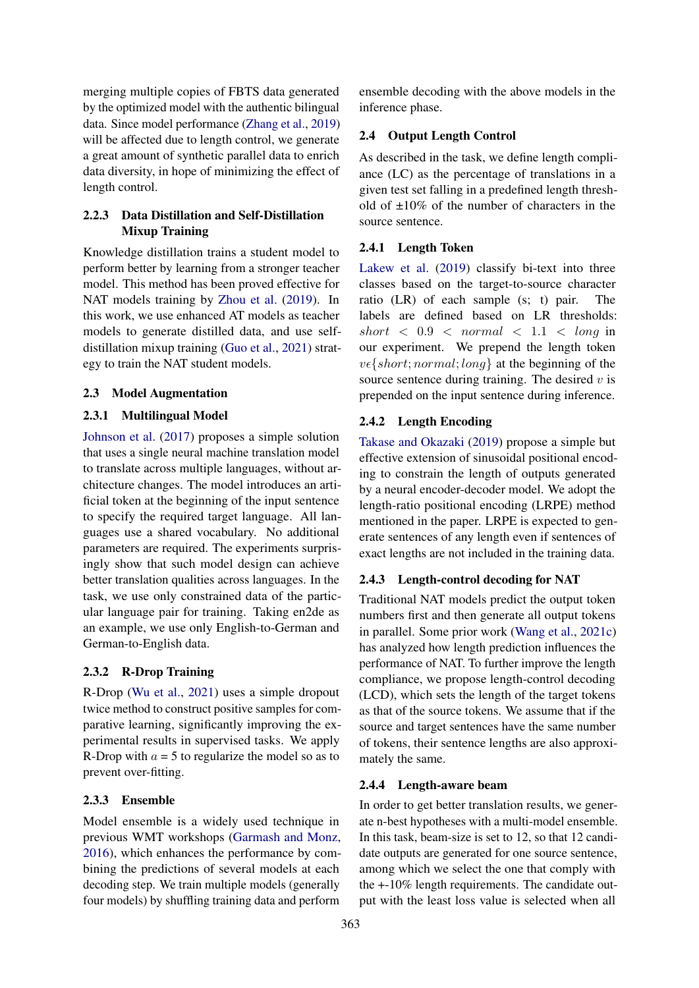merging multiple copies of FBTS data generated by the optimized model with the authentic bilingual data. Since model performance [\(Zhang et al.,](#page-6-15) [2019\)](#page-6-15) will be affected due to length control, we generate a great amount of synthetic parallel data to enrich data diversity, in hope of minimizing the effect of length control.

# 2.2.3 Data Distillation and Self-Distillation Mixup Training

Knowledge distillation trains a student model to perform better by learning from a stronger teacher model. This method has been proved effective for NAT models training by [Zhou et al.](#page-6-16) [\(2019\)](#page-6-16). In this work, we use enhanced AT models as teacher models to generate distilled data, and use selfdistillation mixup training [\(Guo et al.,](#page-6-17) [2021\)](#page-6-17) strategy to train the NAT student models.

## 2.3 Model Augmentation

# 2.3.1 Multilingual Model

[Johnson et al.](#page-6-0) [\(2017\)](#page-6-0) proposes a simple solution that uses a single neural machine translation model to translate across multiple languages, without architecture changes. The model introduces an artificial token at the beginning of the input sentence to specify the required target language. All languages use a shared vocabulary. No additional parameters are required. The experiments surprisingly show that such model design can achieve better translation qualities across languages. In the task, we use only constrained data of the particular language pair for training. Taking en2de as an example, we use only English-to-German and German-to-English data.

## 2.3.2 R-Drop Training

R-Drop [\(Wu et al.,](#page-6-2) [2021\)](#page-6-2) uses a simple dropout twice method to construct positive samples for comparative learning, significantly improving the experimental results in supervised tasks. We apply R-Drop with  $a = 5$  to regularize the model so as to prevent over-fitting.

# 2.3.3 Ensemble

Model ensemble is a widely used technique in previous WMT workshops [\(Garmash and Monz,](#page-5-3) [2016\)](#page-5-3), which enhances the performance by combining the predictions of several models at each decoding step. We train multiple models (generally four models) by shuffling training data and perform

ensemble decoding with the above models in the inference phase.

# 2.4 Output Length Control

As described in the task, we define length compliance (LC) as the percentage of translations in a given test set falling in a predefined length threshold of ±10% of the number of characters in the source sentence.

# <span id="page-2-0"></span>2.4.1 Length Token

[Lakew et al.](#page-6-3) [\(2019\)](#page-6-3) classify bi-text into three classes based on the target-to-source character ratio (LR) of each sample (s; t) pair. The labels are defined based on LR thresholds: short  $\langle 0.9 \times normal \times 1.1 \times long \text{ in }$ our experiment. We prepend the length token  $v \in \{short; normal; long\}$  at the beginning of the source sentence during training. The desired  $v$  is prepended on the input sentence during inference.

# <span id="page-2-1"></span>2.4.2 Length Encoding

[Takase and Okazaki](#page-6-4) [\(2019\)](#page-6-4) propose a simple but effective extension of sinusoidal positional encoding to constrain the length of outputs generated by a neural encoder-decoder model. We adopt the length-ratio positional encoding (LRPE) method mentioned in the paper. LRPE is expected to generate sentences of any length even if sentences of exact lengths are not included in the training data.

## <span id="page-2-2"></span>2.4.3 Length-control decoding for NAT

Traditional NAT models predict the output token numbers first and then generate all output tokens in parallel. Some prior work [\(Wang et al.,](#page-6-18) [2021c\)](#page-6-18) has analyzed how length prediction influences the performance of NAT. To further improve the length compliance, we propose length-control decoding (LCD), which sets the length of the target tokens as that of the source tokens. We assume that if the source and target sentences have the same number of tokens, their sentence lengths are also approximately the same.

## <span id="page-2-3"></span>2.4.4 Length-aware beam

In order to get better translation results, we generate n-best hypotheses with a multi-model ensemble. In this task, beam-size is set to 12, so that 12 candidate outputs are generated for one source sentence, among which we select the one that comply with the +-10% length requirements. The candidate output with the least loss value is selected when all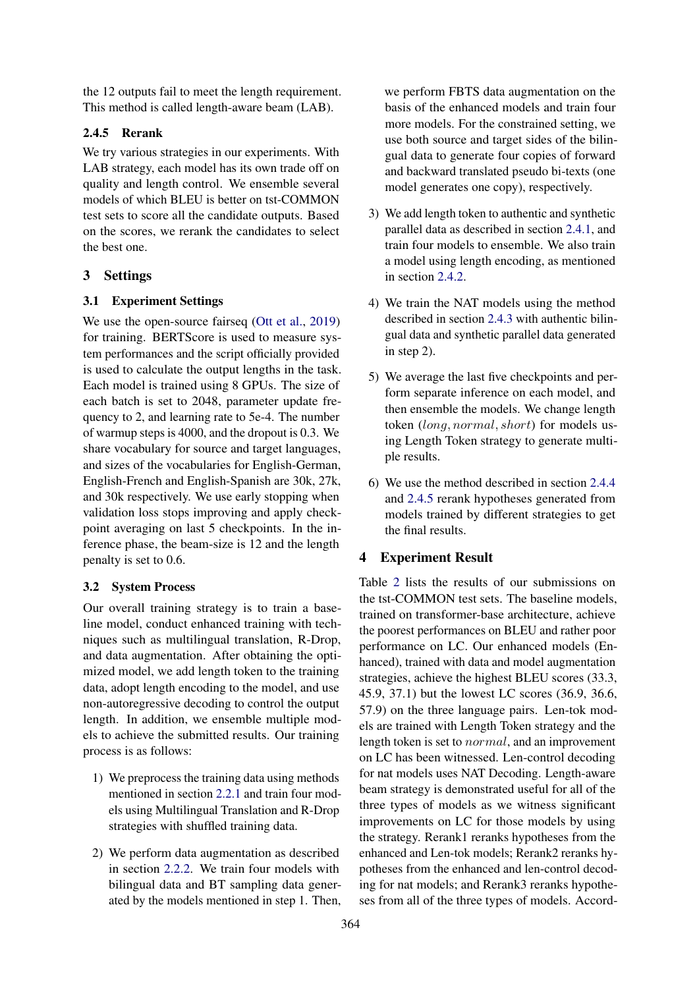the 12 outputs fail to meet the length requirement. This method is called length-aware beam (LAB).

## <span id="page-3-2"></span>2.4.5 Rerank

We try various strategies in our experiments. With LAB strategy, each model has its own trade off on quality and length control. We ensemble several models of which BLEU is better on tst-COMMON test sets to score all the candidate outputs. Based on the scores, we rerank the candidates to select the best one.

### <span id="page-3-0"></span>3 Settings

#### 3.1 Experiment Settings

We use the open-source fairseq [\(Ott et al.,](#page-6-19) [2019\)](#page-6-19) for training. BERTScore is used to measure system performances and the script officially provided is used to calculate the output lengths in the task. Each model is trained using 8 GPUs. The size of each batch is set to 2048, parameter update frequency to 2, and learning rate to 5e-4. The number of warmup steps is 4000, and the dropout is 0.3. We share vocabulary for source and target languages, and sizes of the vocabularies for English-German, English-French and English-Spanish are 30k, 27k, and 30k respectively. We use early stopping when validation loss stops improving and apply checkpoint averaging on last 5 checkpoints. In the inference phase, the beam-size is 12 and the length penalty is set to 0.6.

### 3.2 System Process

Our overall training strategy is to train a baseline model, conduct enhanced training with techniques such as multilingual translation, R-Drop, and data augmentation. After obtaining the optimized model, we add length token to the training data, adopt length encoding to the model, and use non-autoregressive decoding to control the output length. In addition, we ensemble multiple models to achieve the submitted results. Our training process is as follows:

- 1) We preprocess the training data using methods mentioned in section [2.2.1](#page-1-1) and train four models using Multilingual Translation and R-Drop strategies with shuffled training data.
- 2) We perform data augmentation as described in section [2.2.2.](#page-1-2) We train four models with bilingual data and BT sampling data generated by the models mentioned in step 1. Then,

we perform FBTS data augmentation on the basis of the enhanced models and train four more models. For the constrained setting, we use both source and target sides of the bilingual data to generate four copies of forward and backward translated pseudo bi-texts (one model generates one copy), respectively.

- 3) We add length token to authentic and synthetic parallel data as described in section [2.4.1,](#page-2-0) and train four models to ensemble. We also train a model using length encoding, as mentioned in section [2.4.2.](#page-2-1)
- 4) We train the NAT models using the method described in section [2.4.3](#page-2-2) with authentic bilingual data and synthetic parallel data generated in step 2).
- 5) We average the last five checkpoints and perform separate inference on each model, and then ensemble the models. We change length token (long, normal, short) for models using Length Token strategy to generate multiple results.
- 6) We use the method described in section [2.4.4](#page-2-3) and [2.4.5](#page-3-2) rerank hypotheses generated from models trained by different strategies to get the final results.

### <span id="page-3-1"></span>4 Experiment Result

Table [2](#page-4-1) lists the results of our submissions on the tst-COMMON test sets. The baseline models, trained on transformer-base architecture, achieve the poorest performances on BLEU and rather poor performance on LC. Our enhanced models (Enhanced), trained with data and model augmentation strategies, achieve the highest BLEU scores (33.3, 45.9, 37.1) but the lowest LC scores (36.9, 36.6, 57.9) on the three language pairs. Len-tok models are trained with Length Token strategy and the length token is set to normal, and an improvement on LC has been witnessed. Len-control decoding for nat models uses NAT Decoding. Length-aware beam strategy is demonstrated useful for all of the three types of models as we witness significant improvements on LC for those models by using the strategy. Rerank1 reranks hypotheses from the enhanced and Len-tok models; Rerank2 reranks hypotheses from the enhanced and len-control decoding for nat models; and Rerank3 reranks hypotheses from all of the three types of models. Accord-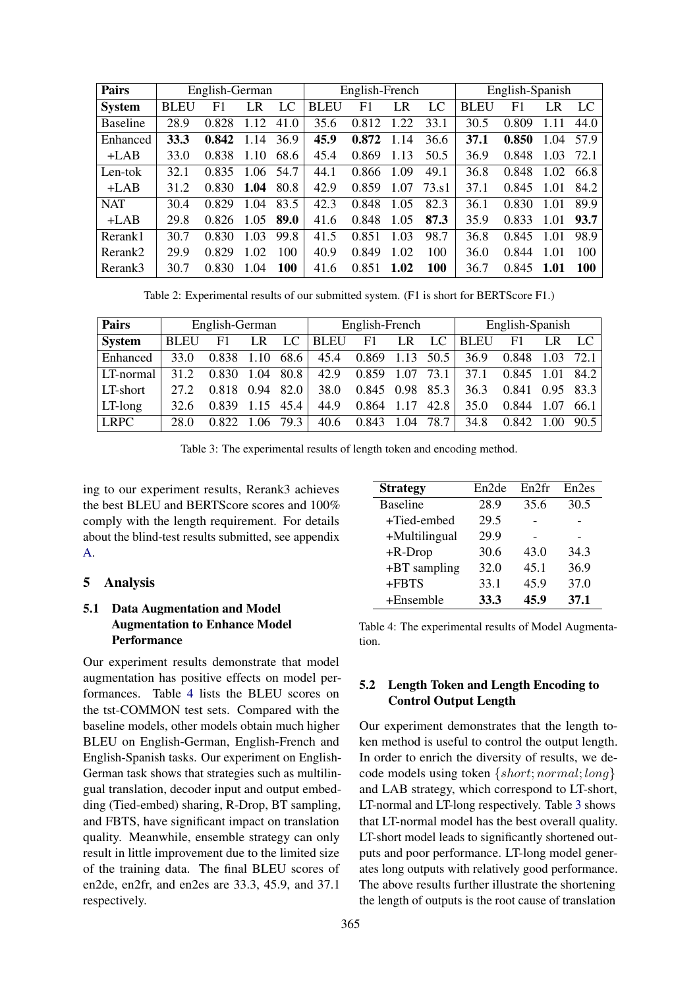<span id="page-4-1"></span>

| <b>Pairs</b>    |             | English-German |      |            | English-French |       |      | English-Spanish |             |       |      |      |
|-----------------|-------------|----------------|------|------------|----------------|-------|------|-----------------|-------------|-------|------|------|
| <b>System</b>   | <b>BLEU</b> | F1             | LR   | LC         | <b>BLEU</b>    | F1    | LR   | LC              | <b>BLEU</b> | F1    | I R  | LC   |
| <b>Baseline</b> | 28.9        | 0.828          | 1.12 | 41.0       | 35.6           | 0.812 | 1.22 | 33.1            | 30.5        | 0.809 | 1.11 | 44.0 |
| Enhanced        | 33.3        | 0.842          | 14   | 36.9       | 45.9           | 0.872 | 1.14 | 36.6            | 37.1        | 0.850 | .04  | 57.9 |
| $+LAB$          | 33.0        | 0.838          | 1.10 | 68.6       | 45.4           | 0.869 | 1.13 | 50.5            | 36.9        | 0.848 | 1.03 | 72.1 |
| Len-tok         | 32.1        | 0.835          | 1.06 | 54.7       | 44.1           | 0.866 | 1.09 | 49.1            | 36.8        | 0.848 | 1.02 | 66.8 |
| $+LAB$          | 31.2        | 0.830          | 1.04 | 80.8       | 42.9           | 0.859 | 1.07 | 73. s1          | 37.1        | 0.845 | 1.01 | 84.2 |
| <b>NAT</b>      | 30.4        | 0.829          | 1.04 | 83.5       | 42.3           | 0.848 | 1.05 | 82.3            | 36.1        | 0.830 | 1.01 | 89.9 |
| $+LAB$          | 29.8        | 0.826          | 1.05 | 89.0       | 41.6           | 0.848 | 1.05 | 87.3            | 35.9        | 0.833 | 1.01 | 93.7 |
| Rerank1         | 30.7        | 0.830          | 1.03 | 99.8       | 41.5           | 0.851 | 1.03 | 98.7            | 36.8        | 0.845 | 1.01 | 98.9 |
| Rerank2         | 29.9        | 0.829          | 1.02 | 100        | 40.9           | 0.849 | 1.02 | 100             | 36.0        | 0.844 | 1.01 | 100  |
| Rerank3         | 30.7        | 0.830          | .04  | <b>100</b> | 41.6           | 0.851 | 1.02 | 100             | 36.7        | 0.845 | 1.01 | 100  |

Table 2: Experimental results of our submitted system. (F1 is short for BERTScore F1.)

<span id="page-4-3"></span>

| Pairs         |             | English-German |       |      |             | English-French |             |      | English-Spanish |       |      |      |  |
|---------------|-------------|----------------|-------|------|-------------|----------------|-------------|------|-----------------|-------|------|------|--|
| <b>System</b> | <b>BLEU</b> | F1             | LR    | LC   | <b>BLEU</b> | F1             | $L_{\rm R}$ | LC   | <b>BLEU</b>     | F1    |      | LC   |  |
| Enhanced      | 33.0        | 0.838          | 1.10  | 68.6 | 45.4        | 0.869          | 1.13        | 50.5 | 36.9            | 0.848 |      | 72.1 |  |
| LT-normal     | 31.2        | 0.830          | 1.04  | 80.8 | 42.9        | 0.859          | 1.07        | 73.1 | 37.1            | 0.845 | 1.01 | 84.2 |  |
| LT-short      | 27.2        | 0.818          | 0.94  | 82.0 | 38.0        | 0.845 0.98     |             | 85.3 | 36.3            | 0.841 | 0.95 | 83.3 |  |
| LT-long       | 32.6        | 0.839          | 1 1 5 | 45.4 | 44.9        | 0.864          | 1.17        | 42.8 | 35.0            | 0.844 | 1.07 | 66.1 |  |
| <b>LRPC</b>   | 28.0        | 0.822          | 1.06  | 79.3 | 40.6        | 0.843          | 1.04        | 78.7 | 34.8            | 0.842 | 1.00 | 90.5 |  |

Table 3: The experimental results of length token and encoding method.

ing to our experiment results, Rerank3 achieves the best BLEU and BERTScore scores and 100% comply with the length requirement. For details about the blind-test results submitted, see appendix [A.](#page-6-20)

### <span id="page-4-0"></span>5 Analysis

# 5.1 Data Augmentation and Model Augmentation to Enhance Model **Performance**

Our experiment results demonstrate that model augmentation has positive effects on model performances. Table [4](#page-4-2) lists the BLEU scores on the tst-COMMON test sets. Compared with the baseline models, other models obtain much higher BLEU on English-German, English-French and English-Spanish tasks. Our experiment on English-German task shows that strategies such as multilingual translation, decoder input and output embedding (Tied-embed) sharing, R-Drop, BT sampling, and FBTS, have significant impact on translation quality. Meanwhile, ensemble strategy can only result in little improvement due to the limited size of the training data. The final BLEU scores of en2de, en2fr, and en2es are 33.3, 45.9, and 37.1 respectively.

<span id="page-4-2"></span>

| <b>Strategy</b> | En2de | En2fr | En <sub>2</sub> es |
|-----------------|-------|-------|--------------------|
| <b>Baseline</b> | 28.9  | 35.6  | 30.5               |
| +Tied-embed     | 29.5  |       |                    |
| +Multilingual   | 29.9  |       |                    |
| $+R-Drop$       | 30.6  | 43.0  | 34.3               |
| $+BT$ sampling  | 32.0  | 45.1  | 36.9               |
| +FBTS           | 33.1  | 45.9  | 37.0               |
| $+E$ nsemble    | 33.3  | 45.9  | 37.1               |

Table 4: The experimental results of Model Augmentation.

## 5.2 Length Token and Length Encoding to Control Output Length

Our experiment demonstrates that the length token method is useful to control the output length. In order to enrich the diversity of results, we decode models using token {short; normal; long} and LAB strategy, which correspond to LT-short, LT-normal and LT-long respectively. Table [3](#page-4-3) shows that LT-normal model has the best overall quality. LT-short model leads to significantly shortened outputs and poor performance. LT-long model generates long outputs with relatively good performance. The above results further illustrate the shortening the length of outputs is the root cause of translation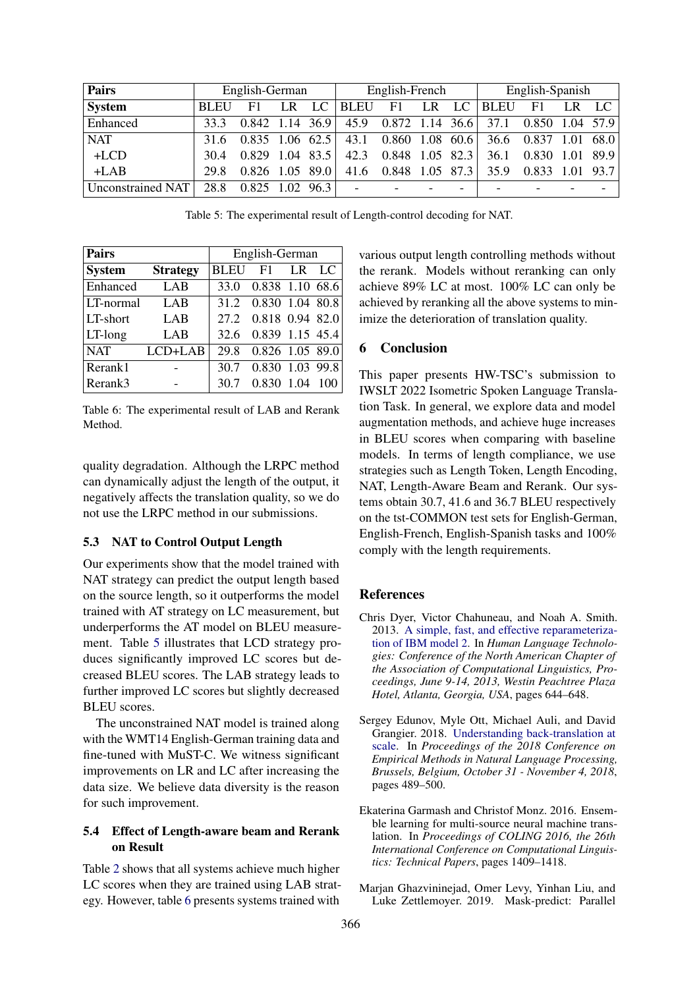<span id="page-5-4"></span>

| Pairs                    |             | English-German    |     |             | English-French           |                   |    |             | English-Spanish |                   |  |                          |
|--------------------------|-------------|-------------------|-----|-------------|--------------------------|-------------------|----|-------------|-----------------|-------------------|--|--------------------------|
| <b>System</b>            | <b>BLEU</b> | F1                | LR. | LC          | <b>BLEU</b>              | F1                | LR | LC          | <b>BLEU</b>     | F1                |  |                          |
| Enhanced                 | 33.3        | $0.842$ 1.14 36.9 |     |             | 45.9                     | 0.872             |    | 1.14 $36.6$ | 37.1            | $0.850$ 1.04 57.9 |  |                          |
| <b>NAT</b>               | 31.6        | $0.835$ 1.06 62.5 |     |             | 43.1                     | 0.860 1.08        |    | 60.6        | 36.6            | 0.837             |  | 68.0                     |
| $+LCD$                   | 30.4        | 0.829 1.04        |     | 83.5        | 42.3                     | $0.848$ 1.05 82.3 |    |             | 36.1            | 0.830             |  | 89.9                     |
| $+LAB$                   | 29.8        | $0.826$ 1.05 89.0 |     |             | 41.6                     | $0.848$ 1.05 87.3 |    |             | 35.9            | 0.833             |  | 93.7                     |
| <b>Unconstrained NAT</b> | 28.8        | 0.825             |     | $1.02$ 96.3 | $\overline{\phantom{a}}$ |                   |    |             |                 |                   |  | $\overline{\phantom{0}}$ |

Table 5: The experimental result of Length-control decoding for NAT.

<span id="page-5-5"></span>

| <b>Pairs</b>  |                 | English-German |                      |      |                 |  |  |  |  |
|---------------|-----------------|----------------|----------------------|------|-----------------|--|--|--|--|
| <b>System</b> | <b>Strategy</b> | <b>BLEU</b>    | F1                   | LR.  | $\overline{LC}$ |  |  |  |  |
| Enhanced      | LAB             | 33.0           | 0.838 1.10 68.6      |      |                 |  |  |  |  |
| LT-normal     | LAB             |                | 31.2 0.830 1.04 80.8 |      |                 |  |  |  |  |
| LT-short      | LAB             |                | 27.2 0.818 0.94 82.0 |      |                 |  |  |  |  |
| $LT$ -long    | LAB             | 32.6           | 0.839 1.15 45.4      |      |                 |  |  |  |  |
| <b>NAT</b>    | $LCD+LAB$       | 29.8           | 0.826 1.05 89.0      |      |                 |  |  |  |  |
| Rerank1       |                 | 30.7           | 0.830 1.03 99.8      |      |                 |  |  |  |  |
| Rerank3       |                 | 30.7           | 0.830                | 1.04 |                 |  |  |  |  |

Table 6: The experimental result of LAB and Rerank Method.

quality degradation. Although the LRPC method can dynamically adjust the length of the output, it negatively affects the translation quality, so we do not use the LRPC method in our submissions.

#### 5.3 NAT to Control Output Length

Our experiments show that the model trained with NAT strategy can predict the output length based on the source length, so it outperforms the model trained with AT strategy on LC measurement, but underperforms the AT model on BLEU measurement. Table [5](#page-5-4) illustrates that LCD strategy produces significantly improved LC scores but decreased BLEU scores. The LAB strategy leads to further improved LC scores but slightly decreased BLEU scores.

The unconstrained NAT model is trained along with the WMT14 English-German training data and fine-tuned with MuST-C. We witness significant improvements on LR and LC after increasing the data size. We believe data diversity is the reason for such improvement.

### 5.4 Effect of Length-aware beam and Rerank on Result

Table [2](#page-4-1) shows that all systems achieve much higher LC scores when they are trained using LAB strategy. However, table [6](#page-5-5) presents systems trained with

various output length controlling methods without the rerank. Models without reranking can only achieve 89% LC at most. 100% LC can only be achieved by reranking all the above systems to minimize the deterioration of translation quality.

#### 6 Conclusion

This paper presents HW-TSC's submission to IWSLT 2022 Isometric Spoken Language Translation Task. In general, we explore data and model augmentation methods, and achieve huge increases in BLEU scores when comparing with baseline models. In terms of length compliance, we use strategies such as Length Token, Length Encoding, NAT, Length-Aware Beam and Rerank. Our systems obtain 30.7, 41.6 and 36.7 BLEU respectively on the tst-COMMON test sets for English-German, English-French, English-Spanish tasks and 100% comply with the length requirements.

### References

- <span id="page-5-2"></span>Chris Dyer, Victor Chahuneau, and Noah A. Smith. 2013. [A simple, fast, and effective reparameteriza](https://www.aclweb.org/anthology/N13-1073/)[tion of IBM model 2.](https://www.aclweb.org/anthology/N13-1073/) In *Human Language Technologies: Conference of the North American Chapter of the Association of Computational Linguistics, Proceedings, June 9-14, 2013, Westin Peachtree Plaza Hotel, Atlanta, Georgia, USA*, pages 644–648.
- <span id="page-5-0"></span>Sergey Edunov, Myle Ott, Michael Auli, and David Grangier. 2018. [Understanding back-translation at](https://doi.org/10.18653/v1/d18-1045) [scale.](https://doi.org/10.18653/v1/d18-1045) In *Proceedings of the 2018 Conference on Empirical Methods in Natural Language Processing, Brussels, Belgium, October 31 - November 4, 2018*, pages 489–500.
- <span id="page-5-3"></span>Ekaterina Garmash and Christof Monz. 2016. Ensemble learning for multi-source neural machine translation. In *Proceedings of COLING 2016, the 26th International Conference on Computational Linguistics: Technical Papers*, pages 1409–1418.
- <span id="page-5-1"></span>Marjan Ghazvininejad, Omer Levy, Yinhan Liu, and Luke Zettlemoyer. 2019. Mask-predict: Parallel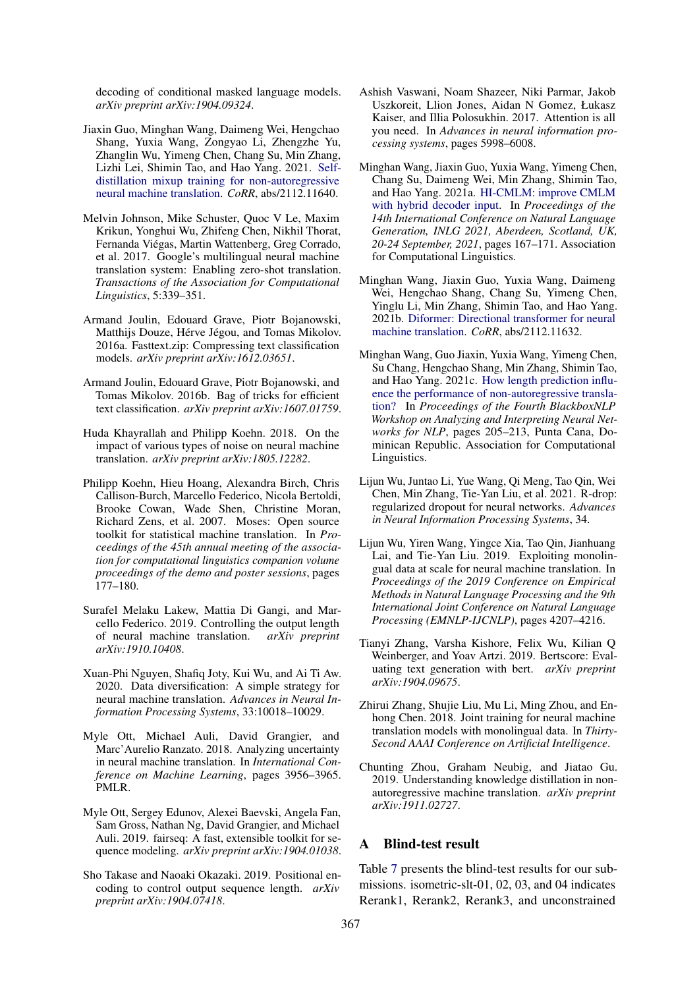decoding of conditional masked language models. *arXiv preprint arXiv:1904.09324*.

- <span id="page-6-17"></span>Jiaxin Guo, Minghan Wang, Daimeng Wei, Hengchao Shang, Yuxia Wang, Zongyao Li, Zhengzhe Yu, Zhanglin Wu, Yimeng Chen, Chang Su, Min Zhang, Lizhi Lei, Shimin Tao, and Hao Yang. 2021. [Self](http://arxiv.org/abs/2112.11640)[distillation mixup training for non-autoregressive](http://arxiv.org/abs/2112.11640) [neural machine translation.](http://arxiv.org/abs/2112.11640) *CoRR*, abs/2112.11640.
- <span id="page-6-0"></span>Melvin Johnson, Mike Schuster, Quoc V Le, Maxim Krikun, Yonghui Wu, Zhifeng Chen, Nikhil Thorat, Fernanda Viégas, Martin Wattenberg, Greg Corrado, et al. 2017. Google's multilingual neural machine translation system: Enabling zero-shot translation. *Transactions of the Association for Computational Linguistics*, 5:339–351.
- <span id="page-6-12"></span>Armand Joulin, Edouard Grave, Piotr Bojanowski, Matthijs Douze, Hérve Jégou, and Tomas Mikolov. 2016a. Fasttext.zip: Compressing text classification models. *arXiv preprint arXiv:1612.03651*.
- <span id="page-6-11"></span>Armand Joulin, Edouard Grave, Piotr Bojanowski, and Tomas Mikolov. 2016b. Bag of tricks for efficient text classification. *arXiv preprint arXiv:1607.01759*.
- <span id="page-6-8"></span>Huda Khayrallah and Philipp Koehn. 2018. On the impact of various types of noise on neural machine translation. *arXiv preprint arXiv:1805.12282*.
- <span id="page-6-10"></span>Philipp Koehn, Hieu Hoang, Alexandra Birch, Chris Callison-Burch, Marcello Federico, Nicola Bertoldi, Brooke Cowan, Wade Shen, Christine Moran, Richard Zens, et al. 2007. Moses: Open source toolkit for statistical machine translation. In *Proceedings of the 45th annual meeting of the association for computational linguistics companion volume proceedings of the demo and poster sessions*, pages 177–180.
- <span id="page-6-3"></span>Surafel Melaku Lakew, Mattia Di Gangi, and Marcello Federico. 2019. Controlling the output length of neural machine translation. *arXiv preprint arXiv:1910.10408*.
- <span id="page-6-13"></span>Xuan-Phi Nguyen, Shafiq Joty, Kui Wu, and Ai Ti Aw. 2020. Data diversification: A simple strategy for neural machine translation. *Advances in Neural Information Processing Systems*, 33:10018–10029.
- <span id="page-6-9"></span>Myle Ott, Michael Auli, David Grangier, and Marc'Aurelio Ranzato. 2018. Analyzing uncertainty in neural machine translation. In *International Conference on Machine Learning*, pages 3956–3965. PMLR.
- <span id="page-6-19"></span>Myle Ott, Sergey Edunov, Alexei Baevski, Angela Fan, Sam Gross, Nathan Ng, David Grangier, and Michael Auli. 2019. fairseq: A fast, extensible toolkit for sequence modeling. *arXiv preprint arXiv:1904.01038*.
- <span id="page-6-4"></span>Sho Takase and Naoaki Okazaki. 2019. Positional encoding to control output sequence length. *arXiv preprint arXiv:1904.07418*.
- <span id="page-6-5"></span>Ashish Vaswani, Noam Shazeer, Niki Parmar, Jakob Uszkoreit, Llion Jones, Aidan N Gomez, Łukasz Kaiser, and Illia Polosukhin. 2017. Attention is all you need. In *Advances in neural information processing systems*, pages 5998–6008.
- <span id="page-6-6"></span>Minghan Wang, Jiaxin Guo, Yuxia Wang, Yimeng Chen, Chang Su, Daimeng Wei, Min Zhang, Shimin Tao, and Hao Yang. 2021a. [HI-CMLM: improve CMLM](https://aclanthology.org/2021.inlg-1.16) [with hybrid decoder input.](https://aclanthology.org/2021.inlg-1.16) In *Proceedings of the 14th International Conference on Natural Language Generation, INLG 2021, Aberdeen, Scotland, UK, 20-24 September, 2021*, pages 167–171. Association for Computational Linguistics.
- <span id="page-6-7"></span>Minghan Wang, Jiaxin Guo, Yuxia Wang, Daimeng Wei, Hengchao Shang, Chang Su, Yimeng Chen, Yinglu Li, Min Zhang, Shimin Tao, and Hao Yang. 2021b. [Diformer: Directional transformer for neural](http://arxiv.org/abs/2112.11632) [machine translation.](http://arxiv.org/abs/2112.11632) *CoRR*, abs/2112.11632.
- <span id="page-6-18"></span>Minghan Wang, Guo Jiaxin, Yuxia Wang, Yimeng Chen, Su Chang, Hengchao Shang, Min Zhang, Shimin Tao, and Hao Yang. 2021c. [How length prediction influ](https://doi.org/10.18653/v1/2021.blackboxnlp-1.14)[ence the performance of non-autoregressive transla](https://doi.org/10.18653/v1/2021.blackboxnlp-1.14)[tion?](https://doi.org/10.18653/v1/2021.blackboxnlp-1.14) In *Proceedings of the Fourth BlackboxNLP Workshop on Analyzing and Interpreting Neural Networks for NLP*, pages 205–213, Punta Cana, Dominican Republic. Association for Computational Linguistics.
- <span id="page-6-2"></span>Lijun Wu, Juntao Li, Yue Wang, Qi Meng, Tao Qin, Wei Chen, Min Zhang, Tie-Yan Liu, et al. 2021. R-drop: regularized dropout for neural networks. *Advances in Neural Information Processing Systems*, 34.
- <span id="page-6-1"></span>Lijun Wu, Yiren Wang, Yingce Xia, Tao Qin, Jianhuang Lai, and Tie-Yan Liu. 2019. Exploiting monolingual data at scale for neural machine translation. In *Proceedings of the 2019 Conference on Empirical Methods in Natural Language Processing and the 9th International Joint Conference on Natural Language Processing (EMNLP-IJCNLP)*, pages 4207–4216.
- <span id="page-6-15"></span>Tianyi Zhang, Varsha Kishore, Felix Wu, Kilian Q Weinberger, and Yoav Artzi. 2019. Bertscore: Evaluating text generation with bert. *arXiv preprint arXiv:1904.09675*.
- <span id="page-6-14"></span>Zhirui Zhang, Shujie Liu, Mu Li, Ming Zhou, and Enhong Chen. 2018. Joint training for neural machine translation models with monolingual data. In *Thirty-Second AAAI Conference on Artificial Intelligence*.
- <span id="page-6-16"></span>Chunting Zhou, Graham Neubig, and Jiatao Gu. 2019. Understanding knowledge distillation in nonautoregressive machine translation. *arXiv preprint arXiv:1911.02727*.

#### <span id="page-6-20"></span>A Blind-test result

Table [7](#page-7-0) presents the blind-test results for our submissions. isometric-slt-01, 02, 03, and 04 indicates Rerank1, Rerank2, Rerank3, and unconstrained